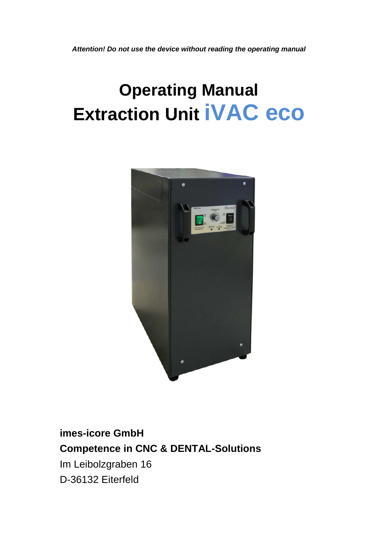*Attention! Do not use the device without reading the operating manual*

# **Operating Manual Extraction Unit iVAC eco**



# **imes-icore GmbH Competence in CNC & DENTAL-Solutions** Im Leibolzgraben 16 D-36132 Eiterfeld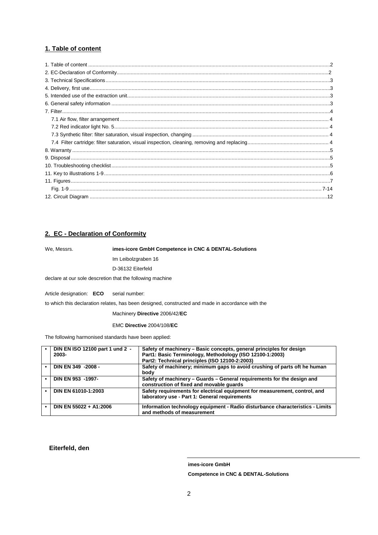#### <span id="page-1-0"></span>**1. Table of content**

#### **2. EC - Declaration of Conformity**

We, Messrs. **imes-icore GmbH Competence in CNC & DENTAL-Solutions**

Im Leibolzgraben 16

D-36132 Eiterfeld

declare at our sole descretion that the following machine

Article designation: **ECO** serial number:

to which this declaration relates, has been designed, constructed and made in accordance with the

Machinery **Directive** 2006/42/**EC** 

EMC **Directive** 2004/108/**EC** 

The following harmonised standards have been applied:

| DIN EN ISO 12100 part 1 und 2 -<br>2003- | Safety of machinery – Basic concepts, general principles for design<br>Part1: Basic Terminology, Methodology (ISO 12100-1:2003)<br>Part2: Technical principles (ISO 12100-2:2003) |
|------------------------------------------|-----------------------------------------------------------------------------------------------------------------------------------------------------------------------------------|
|                                          |                                                                                                                                                                                   |
| DIN EN 349 -2008 -                       | Safety of machinery; minimum gaps to avoid crushing of parts oft he human<br>body                                                                                                 |
| DIN EN 953 -1997-                        | Safety of machinery – Guards – General requirements for the design and<br>construction of fixed and movable guards                                                                |
| DIN EN 61010-1:2003                      | Safety requirements for electrical equipment for measurement, control, and<br>laboratory use - Part 1: General requirements                                                       |
| DIN EN 55022 + A1:2006                   | Information technology equipment - Radio disturbance characteristics - Limits<br>and methods of measurement                                                                       |

**Eiterfeld, den**

**imes-icore GmbH Competence in CNC & DENTAL-Solutions**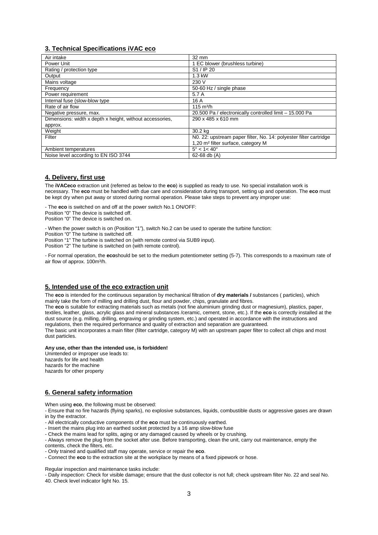#### <span id="page-2-0"></span>**3. Technical Specifications iVAC eco**

| Air intake                                               | 32 mm                                                             |
|----------------------------------------------------------|-------------------------------------------------------------------|
| Power Unit                                               | 1 EC blower (brushless turbine)                                   |
| Rating / protection type                                 | S1 / IP 20                                                        |
| Output                                                   | 1.3 kW                                                            |
| Mains voltage                                            | 230 V                                                             |
| Frequency                                                | 50-60 Hz / single phase                                           |
| Power requirement                                        | 5.7 A                                                             |
| Internal fuse (slow-blow type                            | 16 A                                                              |
| Rate of air flow                                         | $115 \text{ m}^3/h$                                               |
| Negative pressure, max.                                  | 20.500 Pa / electronically controlled limit - 15.000 Pa           |
| Dimensions: width x depth x height, without accessories, | 290 x 485 x 610 mm                                                |
| approx.                                                  |                                                                   |
| Weight                                                   | 30.2 kg                                                           |
| Filter                                                   | NO. 22: upstream paper filter, No. 14: polyester filter cartridge |
|                                                          | 1,20 m <sup>2</sup> filter surface, category M                    |
| Ambient temperatures                                     | $5^{\circ}$ < 1 < 40 $^{\circ}$                                   |
| Noise level according to EN ISO 3744                     | 62-68 db $(A)$                                                    |

#### <span id="page-2-1"></span>**4. Delivery, first use**

The **iVACeco** extraction unit (referred as below to the **eco**) is supplied as ready to use. No special installation work is necessary. The **eco** must be handled with due care and consideration during transport, setting up and operation. The **eco** must be kept dry when put away or stored during normal operation. Please take steps to prevent any improper use:

- The **eco** is switched on and off at the power switch No.1 ON/OFF:

Position "0" The device is switched off.

Position "0" The device is switched on.

- When the power switch is on (Position "1"), switch No.2 can be used to operate the turbine function:

Position "0" The turbine is switched off.

Position "1" The turbine is switched on (with remote control via SUB9 input).

Position "2" The turbine is switched on (with remote control).

- For normal operation, the **eco**should be set to the medium potentiometer setting (5-7). This corresponds to a maximum rate of air flow of approx. 100m<sup>3</sup>/h.

#### <span id="page-2-2"></span>**5. Intended use of the eco extraction unit**

The **eco** is intended for the continuous separation by mechanical filtration of **dry materials /** substances ( particles), which mainly take the form of milling and drilling dust, flour and powder, chips, granulate and fibres.

The **eco** is suitable for extracting materials such as metals (not fine aluminium grinding dust or magnesium), plastics, paper, textiles, leather, glass, acrylic glass and mineral substances /ceramic, cement, stone, etc.). If the **eco** is correctly installed at the dust source (e.g. milling, drilling, engraving or grinding system, etc.) and operated in accordance with the instructions and regulations, then the required performance and quality of extraction and separation are guaranteed. The basic unit incorporates a main filter (filter cartridge, category M) with an upstream paper filter to collect all chips and most dust particles.

#### **Any use, other than the intended use, is forbidden!**

Unintended or improper use leads to: hazards for life and health hazards for the machine hazards for other property

#### <span id="page-2-3"></span>**6. General safety information**

When using **eco**, the following must be observed:

- Ensure that no fire hazards (flying sparks), no explosive substances, liquids, combustible dusts or aggressive gases are drawn in by the extractor.

- All electrically conductive components of the **eco** must be continuously earthed.

- Insert the mains plug into an earthed socket protected by a 16 amp slow-blow fuse

- Check the mains lead for splits, aging or any damaged caused by wheels or by crushing.

- Always remove the plug from the socket after use. Before transporting, clean the unit, carry out maintenance, empty the

contents, check the filters, etc.

- Only trained and qualified staff may operate, service or repair the **eco**.

- Connect the **eco** to the extraction site at the workplace by means of a fixed pipework or hose.

Regular inspection and maintenance tasks include:

- Daily inspection: Check for visible damage; ensure that the dust collector is not full; check upstream filter No. 22 and seal No. 40. Check level indicator light No. 15.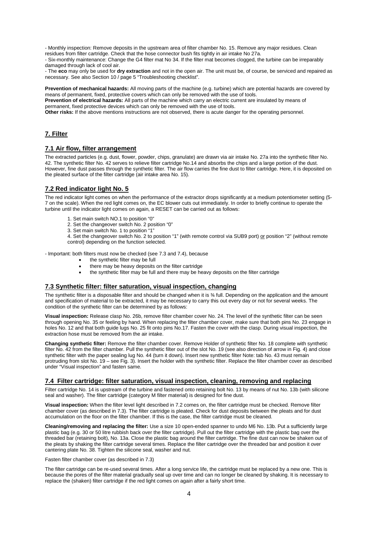- Monthly inspection: Remove deposits in the upstream area of filter chamber No. 15. Remove any major residues. Clean residues from filter cartridge. Check that the hose connector bush fits tightly in air intake No 27a.

- Six-monthly maintenance: Change the G4 filter mat No 34. If the filter mat becomes clogged, the turbine can be irreparably damaged through lack of cool air.

- The **eco** may only be used for **dry extraction** and not in the open air. The unit must be, of course, be serviced and repaired as necessary. See also Section 10 / page 5 "Troubleshooting checklist".

**Prevention of mechanical hazards:** All moving parts of the machine (e.g. turbine) which are potential hazards are covered by means of permanent, fixed, protective covers which can only be removed with the use of tools. **Prevention of electrical hazards:** All parts of the machine which carry an electric current are insulated by means of

permanent, fixed protective devices which can only be removed with the use of tools.

**Other risks:** If the above mentions instructions are not observed, there is acute danger for the operating personnel.

#### <span id="page-3-0"></span>**7. Filter**

#### <span id="page-3-1"></span>**7.1 Air flow, filter arrangement**

The extracted particles (e.g. dust, flower, powder, chips, granulate) are drawn via air intake No. 27a into the synthetic filter No. 42. The synthetic filter No. 42 serves to relieve filter cartridge No.14 and absorbs the chips and a large portion of the dust. However, fine dust passes through the synthetic filter. The air flow carries the fine dust to filter cartridge. Here, it is deposited on the pleated surface of the filter cartridge (air intake area No. 15).

#### <span id="page-3-2"></span>**7.2 Red indicator light No. 5**

The red indicator light comes on when the performance of the extractor drops significantly at a medium potentiometer setting (5- 7 on the scale). When the red light comes on, the EC blower cuts out immediately. In order to briefly continue to operate the turbine until the indicator light comes on again, a RESET can be carried out as follows:

- 1. Set main switch NO.1 to position "0"
- 2. Set the changeover switch No. 2 position "0"
- 3. Set main switch No. 1 to position "1"
- 4. Set the changeover switch No. 2 to position "1" (with remote control via SUB9 port) or position "2" (without remote control) depending on the function selected.

- Important: both filters must now be checked (see 7.3 and 7.4), because

- the synthetic filter may be full
- there may be heavy deposits on the filter cartridge
- the synthetic filter may be full and there may be heavy deposits on the filter cartridge

#### <span id="page-3-3"></span>**7.3 Synthetic filter: filter saturation, visual inspection, changing**

The svnthetic filter is a disposable filter and should be changed when it is % full. Depending on the application and the amount and specification of material to be extracted, it may be necessary to carry this out every day or not for several weeks. The condition of the synthetic filter can be determined by as follows:

**Visual inspection:** Release clasp No. 26b, remove filter chamber cover No. 24. The level of the synthetic filter can be seen through opening No. 35 or feeling by hand. When replacing the filter chamber cover, make sure that both pins No. 23 engage in holes No. 12 and that both guide lugs No. 25 fit onto pins No.17. Fasten the cover with the clasp. During visual inspection, the extraction hose must be removed from the air intake.

**Changing synthetic filter:** Remove the filter chamber cover. Remove Holder of synthetic filter No. 18 complete with synthetic filter No. 42 from the filter chamber. Pull the synthetic filter out of the slot No. 19 (see also direction of arrow in Fig. 4) and close synthetic filter with the paper sealing lug No. 44 (turn it down). Insert new synthetic filter Note: tab No. 43 must remain protruding from slot No. 19 – see Fig. 3). Insert the holder with the synthetic filter. Replace the filter chamber cover as described under "Visual inspection" and fasten same.

#### <span id="page-3-4"></span>**7.4 Filter cartridge: filter saturation, visual inspection, cleaning, removing and replacing**

Filter cartridge No. 14 is upstream of the turbine and fastened onto retaining bolt No. 13 by means of nut No. 13b (with silicone seal and washer). The filter cartridge (category M filter material) is designed for fine dust.

**Visual inspection:** When the filter level light described in 7.2 comes on, the filter cartridge must be checked. Remove filter chamber cover (as described in 7.3). The filter cartridge is pleated. Check for dust deposits between the pleats and for dust accumulation on the floor on the filter chamber. If this is the case, the filter cartridge must be cleaned.

**Cleaning/removing and replacing the filter:** Use a size 10 open-ended spanner to undo M6 No. 13b. Put a sufficiently large plastic bag (e.g. 30 or 50 litre rubbish back over the filter cartridge). Pull out the filter cartridge with the plastic bag over the threaded bar (retaining bolt), No. 13a. Close the plastic bag around the filter cartridge. The fine dust can now be shaken out of the pleats by shaking the filter cartridge several times. Replace the filter cartridge over the threaded bar and position it over cantering plate No. 38. Tighten the silicone seal, washer and nut.

Fasten filter chamber cover (as described in 7.3)

The filter cartridge can be re-used several times. After a long service life, the cartridge must be replaced by a new one. This is because the pores of the filter material gradually seal up over time and can no longer be cleaned by shaking. It is necessary to replace the (shaken) filter cartridge if the red light comes on again after a fairly short time.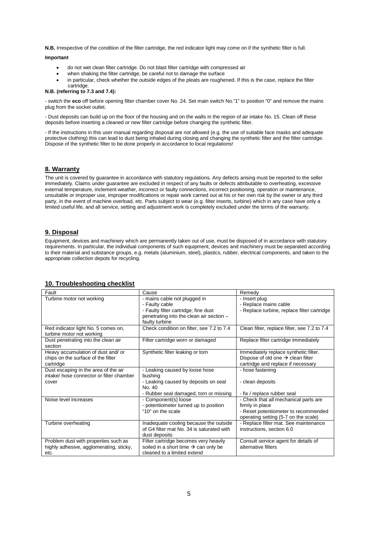**N.B.** Irrespective of the condition of the filter cartridge, the red indicator light may come on if the synthetic filter is full.

#### **Important**

- do not wet clean filter cartridge. Do not blast filter cartridge with compressed air
- when shaking the filter cartridge, be careful not to damage the surface
- in particular, check whether the outside edges of the pleats are roughened. If this is the case, replace the filter cartridge.

#### **N.B. (referring to 7.3 and 7.4):**

- switch the **eco** off before opening filter chamber cover No. 24. Set main switch No."1" to position "0" and remove the mains plug from the socket outlet.

- Dust deposits can build up on the floor of the housing and on the walls in the region of air intake No. 15. Clean off these deposits before inserting a cleaned or new filter cartridge before changing the synthetic filter.

- If the instructions in this user manual regarding disposal are not allowed (e.g. the use of suitable face masks and adequate protective clothing) this can lead to dust being inhaled during closing and changing the synthetic filter and the filter cartridge. Dispose of the synthetic filter to be done properly in accordance to local regulations!

#### <span id="page-4-0"></span>**8. Warranty**

The unit is covered by guarantee in accordance with statutory regulations. Any defects arising must be reported to the seller immediately. Claims under guarantee are excluded in respect of any faults or defects attributable to overheating, excessive external temperature, inclement weather, incorrect or faulty connections, incorrect positioning, operation or maintenance, unsuitable or improper use, improper modifications or repair work carried out at his or her own risk by the owner or any third party, in the event of machine overload, etc. Parts subject to wear (e.g. filter inserts, turbine) which in any case have only a limited useful life, and all service, setting and adjustment work is completely excluded under the terms of the warranty.

#### <span id="page-4-1"></span>**9. Disposal**

Equipment, devices and machinery which are permanently taken out of use, must be disposed of in accordance with statutory requirements. In particular, the individual components of such equipment, devices and machinery must be separated according to their material and substance groups, e.g. metals (aluminium, steel), plastics, rubber, electrical components, and taken to the appropriate collection depots for recycling.

| Fault                                                                                     | Cause                                                                                                                                                | Remedy                                                                                                                                   |
|-------------------------------------------------------------------------------------------|------------------------------------------------------------------------------------------------------------------------------------------------------|------------------------------------------------------------------------------------------------------------------------------------------|
| Turbine motor not working                                                                 | - mains cable not plugged in<br>- Faulty cable<br>- Faulty filter cartridge; fine dust<br>penetrating into the clean air section -<br>faulty turbine | - Insert plug<br>- Replace mains cable<br>- Replace turbine, replace filter cartridge                                                    |
| Red indicator light No. 5 comes on,<br>turbine motor not working                          | Check condition on filter, see 7.2 to 7.4                                                                                                            | Clean filter, replace filter, see 7.2 to 7.4                                                                                             |
| Dust penetrating into the clean air<br>section                                            | Filter cartridge worn or damaged                                                                                                                     | Replace filter cartridge immediately                                                                                                     |
| Heavy accumulation of dust and/ or<br>chips on the surface of the filter<br>cartridge     | Synthetic filter leaking or torn                                                                                                                     | Immediately replace synthetic filter.<br>Dispose of old one $\rightarrow$ clean filter<br>cartridge and replace if necessary             |
| Dust escaping in the area of the air<br>intake/ hose connector or filter chamber<br>cover | - Leaking caused by loose hose<br>bushing<br>- Leaking caused by deposits on seal<br>No. 40<br>- Rubber seal damaged, torn or missing                | - hose fastening<br>- clean deposits<br>- fix / replace rubber seal                                                                      |
| Noise level increases                                                                     | - Component(s) loose<br>- potentiometer turned up to position<br>"10" on the scale                                                                   | - Check that all mechanical parts are<br>firmly in place<br>- Reset potentiometer to recommended<br>operating setting (5-7 on the scale) |
| Turbine overheating                                                                       | Inadequate cooling because the outside<br>of G4 filter mat No. 34 is saturated with<br>dust deposits                                                 | - Replace filter mat. See maintenance<br>instructions, section 6.0                                                                       |
| Problem dust with properties such as<br>highly adhesive, agglomerating, sticky,<br>etc.   | Filter cartridge becomes very heavily<br>soiled in a short time $\rightarrow$ can only be<br>cleaned to a limited extend                             | Consult service agent for details of<br>alternative filters                                                                              |

#### <span id="page-4-2"></span>**10. Troubleshooting checklist**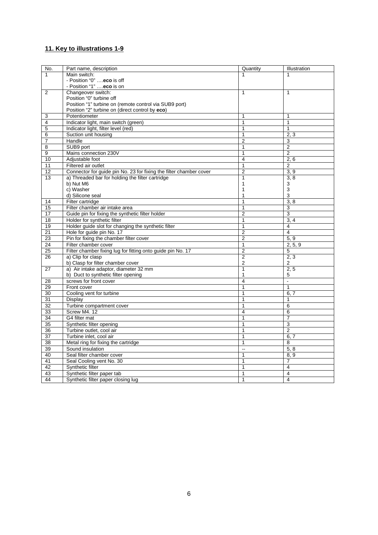#### <span id="page-5-0"></span>**11. Key to illustrations 1-9**

| No.            | Part name, description                                             | Quantity       | Illustration             |
|----------------|--------------------------------------------------------------------|----------------|--------------------------|
| 1              | Main switch:                                                       | 1              | 1                        |
|                | - Position "0"  eco is off                                         |                |                          |
|                | - Position "1" eco is on                                           |                |                          |
| 2              | Changeover switch:                                                 | $\mathbf{1}$   | 1                        |
|                | Position "0" turbine off                                           |                |                          |
|                | Position "1" turbine on (remote control via SUB9 port)             |                |                          |
|                | Position "2" turbine on (direct control by eco)                    |                |                          |
| 3              | Potentiometer                                                      | 1              | 1                        |
| $\overline{4}$ | Indicator light, main switch (green)                               | 1              | $\mathbf{1}$             |
| 5              | Indicator light, filter level (red)                                | 1              | 1                        |
| 6              | Suction unit housing                                               | 1              | 2, 3                     |
| $\overline{7}$ | Handle                                                             | $\overline{2}$ | 3                        |
| 8              | SUB9 port                                                          | 1              | $\overline{2}$           |
| 9              | Mains connection 230V                                              | 1              | $\overline{2}$           |
| 10             | Adjustable foot                                                    | 4              | 2, 6                     |
| 11             | Filtered air outlet                                                | 1              | 2                        |
| 12             | Connector for guide pin No. 23 for fixing the filter chamber cover | $\overline{2}$ | 3, 9                     |
| 13             | a) Threaded bar for holding the filter cartridge                   | $\mathbf{1}$   | 3, 8                     |
|                | b) Nut M6                                                          | 1              | 3                        |
|                | c) Washer                                                          | 1              | 3                        |
|                | d) Silicone seal                                                   | 1              | 3                        |
| 14             | Filter cartridge                                                   | 1              | 3, 8                     |
| 15             | Filter chamber air intake area                                     | 1              | 3                        |
| 17             | Guide pin for fixing the synthetic filter holder                   | $\overline{2}$ | 3                        |
| 18             | Holder for synthetic filter                                        | 1              | 3, 4                     |
| 19             | Holder guide slot for changing the synthetic filter                | 1              | 4                        |
| 21             | Hole for guide pin No. 17                                          | $\overline{2}$ | $\overline{\mathbf{4}}$  |
| 23             | Pin for fixing the chamber filter cover                            | $\overline{2}$ | 5, 9                     |
| 24             | Filter chamber cover                                               | $\mathbf{1}$   | 2, 5, 9                  |
| 25             | Filter chamber fixing lug for fitting onto guide pin No. 17        | $\overline{2}$ | $\overline{5}$           |
| 26             | a) Clip for clasp                                                  | $\overline{2}$ | 2, 3                     |
|                | b) Clasp for filter chamber cover                                  | $\overline{2}$ | 2                        |
| 27             | a) Air intake adaptor, diameter 32 mm                              | 1              | 2, 5                     |
|                | b) Duct to synthetic filter opening                                | 1              | 5                        |
| 28             | screws for front cover                                             | $\overline{4}$ | $\overline{\phantom{a}}$ |
| 29             | Front cover                                                        | $\overline{1}$ | 1                        |
| 30             | Cooling vent for turbine                                           | 1              | 6, 7                     |
| 31             | Display                                                            | 1              | $\mathbf{1}$             |
| 32             | Turbine compartment cover                                          | 1              | 6                        |
| 33             | Screw M4, 12                                                       | $\overline{4}$ | 6                        |
| 34             | G4 filter mat                                                      | 1              | $\overline{7}$           |
| 35             | Synthetic filter opening                                           | 1              | 3                        |
| 36             | Turbine outlet, cool air                                           | $\mathbf{1}$   | $\overline{2}$           |
| 37             | Turbine inlet, cool air                                            | 1              | 6, 7                     |
| 38             | Metal ring for fixing the cartridge                                | 1              | 8                        |
| 39             | Sound insulation                                                   | Ξ.             | 5, 8                     |
| 40             | Seal filter chamber cover                                          | $\mathbf{1}$   | 8, 9                     |
| 41             | Seal Cooling vent No. 30                                           | 1              | 7                        |
| 42             | Synthetic filter                                                   | 1              | $\overline{\mathbf{4}}$  |
| 43             | Synthetic filter paper tab                                         | 1              | 4                        |
| 44             | Synthetic filter paper closing lug                                 | 1              | 4                        |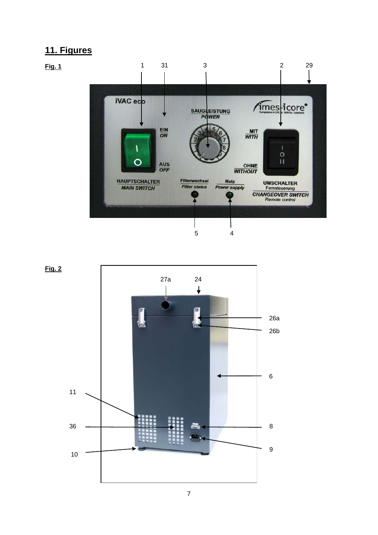## <span id="page-6-0"></span>**11. Figures**

<span id="page-6-1"></span>

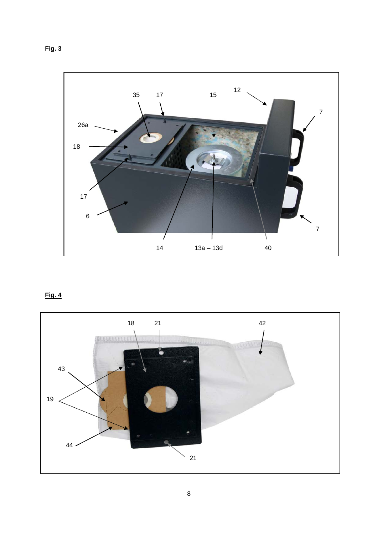**Fig. 3**



### **Fig. 4**

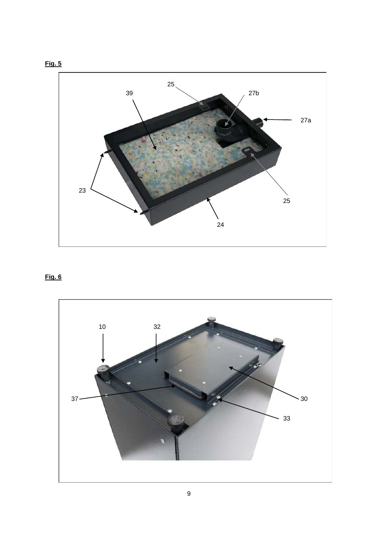



### **Fig. 6**

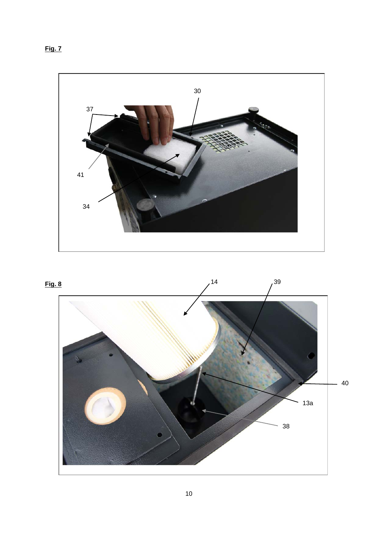

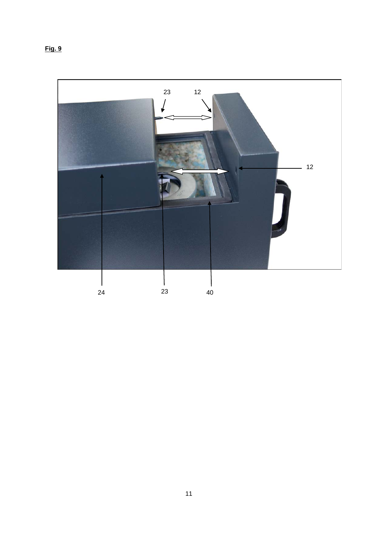